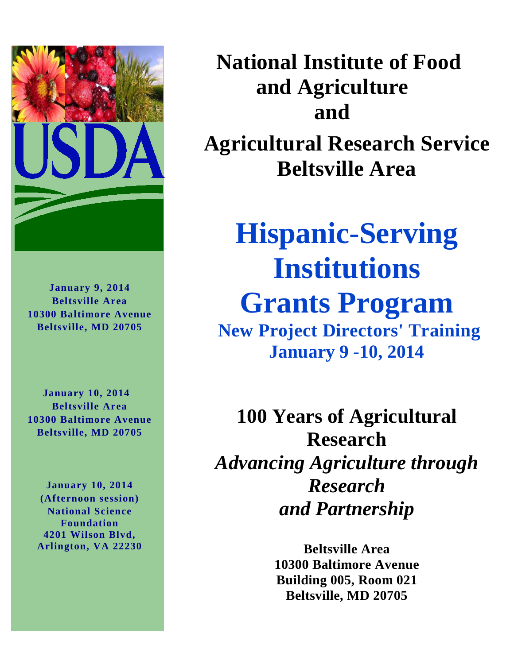

**January 9, 2014 Beltsville Area 10300 Baltimore Avenue Beltsville, MD 20705**

 **January 10, 2014 Beltsville Area 10300 Baltimore Avenue Beltsville, MD 20705**

**January 10, 2014 (Afternoon session) National Science Foundation 4201 Wilson Blvd, Arlington, VA 22230**  **National Institute of Food and Agriculture and** 

**Agricultural Research Service Beltsville Area** 

## **Hispanic-Serving Institutions Grants Program New Project Directors' Training**

**January 9 -10, 2014**

**100 Years of Agricultural Research** *Advancing Agriculture through Research and Partnership*

> **Beltsville Area 10300 Baltimore Avenue Building 005, Room 021 Beltsville, MD 20705**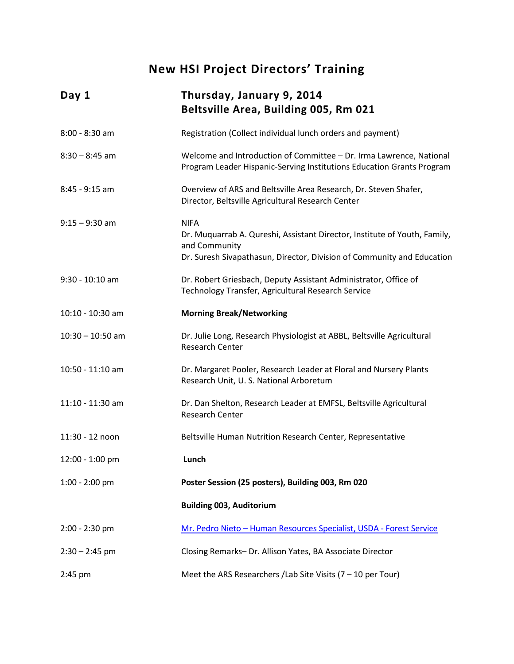### **New HSI Project Directors' Training**

| Day 1              | Thursday, January 9, 2014<br>Beltsville Area, Building 005, Rm 021                                                                                                                  |
|--------------------|-------------------------------------------------------------------------------------------------------------------------------------------------------------------------------------|
| $8:00 - 8:30$ am   | Registration (Collect individual lunch orders and payment)                                                                                                                          |
| $8:30 - 8:45$ am   | Welcome and Introduction of Committee - Dr. Irma Lawrence, National<br>Program Leader Hispanic-Serving Institutions Education Grants Program                                        |
| $8:45 - 9:15$ am   | Overview of ARS and Beltsville Area Research, Dr. Steven Shafer,<br>Director, Beltsville Agricultural Research Center                                                               |
| $9:15 - 9:30$ am   | <b>NIFA</b><br>Dr. Muquarrab A. Qureshi, Assistant Director, Institute of Youth, Family,<br>and Community<br>Dr. Suresh Sivapathasun, Director, Division of Community and Education |
| $9:30 - 10:10$ am  | Dr. Robert Griesbach, Deputy Assistant Administrator, Office of<br>Technology Transfer, Agricultural Research Service                                                               |
| 10:10 - 10:30 am   | <b>Morning Break/Networking</b>                                                                                                                                                     |
| $10:30 - 10:50$ am | Dr. Julie Long, Research Physiologist at ABBL, Beltsville Agricultural<br><b>Research Center</b>                                                                                    |
| 10:50 - 11:10 am   | Dr. Margaret Pooler, Research Leader at Floral and Nursery Plants<br>Research Unit, U.S. National Arboretum                                                                         |
| 11:10 - 11:30 am   | Dr. Dan Shelton, Research Leader at EMFSL, Beltsville Agricultural<br><b>Research Center</b>                                                                                        |
| 11:30 - 12 noon    | Beltsville Human Nutrition Research Center, Representative                                                                                                                          |
| 12:00 - 1:00 pm    | Lunch                                                                                                                                                                               |
| $1:00 - 2:00$ pm   | Poster Session (25 posters), Building 003, Rm 020                                                                                                                                   |
|                    | <b>Building 003, Auditorium</b>                                                                                                                                                     |
| $2:00 - 2:30$ pm   | Mr. Pedro Nieto - Human Resources Specialist, USDA - Forest Service                                                                                                                 |
| $2:30 - 2:45$ pm   | Closing Remarks- Dr. Allison Yates, BA Associate Director                                                                                                                           |
| $2:45$ pm          | Meet the ARS Researchers / Lab Site Visits $(7 - 10$ per Tour)                                                                                                                      |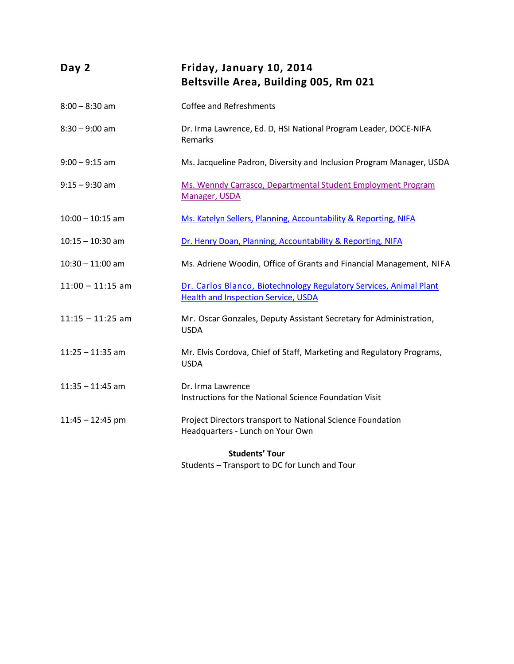| Day 2                 | Friday, January 10, 2014<br>Beltsville Area, Building 005, Rm 021                                                |  |
|-----------------------|------------------------------------------------------------------------------------------------------------------|--|
| $8:00 - 8:30$ am      | Coffee and Refreshments                                                                                          |  |
| $8:30 - 9:00$ am      | Dr. Irma Lawrence, Ed. D, HSI National Program Leader, DOCE-NIFA<br>Remarks                                      |  |
| $9:00 - 9:15$ am      | Ms. Jacqueline Padron, Diversity and Inclusion Program Manager, USDA                                             |  |
| $9:15 - 9:30$ am      | Ms. Wenndy Carrasco, Departmental Student Employment Program<br>Manager, USDA                                    |  |
| $10:00 - 10:15$ am    | Ms. Katelyn Sellers, Planning, Accountability & Reporting, NIFA                                                  |  |
| $10:15 - 10:30$ am    | Dr. Henry Doan, Planning, Accountability & Reporting, NIFA                                                       |  |
| $10:30 - 11:00$ am    | Ms. Adriene Woodin, Office of Grants and Financial Management, NIFA                                              |  |
| $11:00 - 11:15$ am    | Dr. Carlos Blanco, Biotechnology Regulatory Services, Animal Plant<br><b>Health and Inspection Service, USDA</b> |  |
| $11:15 - 11:25$ am    | Mr. Oscar Gonzales, Deputy Assistant Secretary for Administration,<br><b>USDA</b>                                |  |
| $11:25 - 11:35$ am    | Mr. Elvis Cordova, Chief of Staff, Marketing and Regulatory Programs,<br><b>USDA</b>                             |  |
| $11:35 - 11:45$ am    | Dr. Irma Lawrence<br>Instructions for the National Science Foundation Visit                                      |  |
| $11:45 - 12:45$ pm    | Project Directors transport to National Science Foundation<br>Headquarters - Lunch on Your Own                   |  |
| <b>Students' Tour</b> |                                                                                                                  |  |

Students – Transport to DC for Lunch and Tour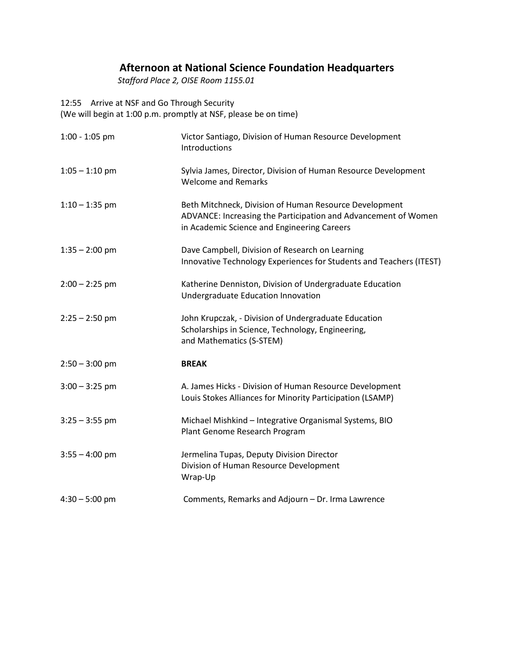### **Afternoon at National Science Foundation Headquarters**

 *Stafford Place 2, OISE Room 1155.01* 

12:55 Arrive at NSF and Go Through Security

(We will begin at 1:00 p.m. promptly at NSF, please be on time)

| $1:00 - 1:05$ pm | Victor Santiago, Division of Human Resource Development<br>Introductions                                                                                                |
|------------------|-------------------------------------------------------------------------------------------------------------------------------------------------------------------------|
| $1:05 - 1:10$ pm | Sylvia James, Director, Division of Human Resource Development<br><b>Welcome and Remarks</b>                                                                            |
| $1:10 - 1:35$ pm | Beth Mitchneck, Division of Human Resource Development<br>ADVANCE: Increasing the Participation and Advancement of Women<br>in Academic Science and Engineering Careers |
| $1:35 - 2:00$ pm | Dave Campbell, Division of Research on Learning<br>Innovative Technology Experiences for Students and Teachers (ITEST)                                                  |
| $2:00 - 2:25$ pm | Katherine Denniston, Division of Undergraduate Education<br>Undergraduate Education Innovation                                                                          |
| $2:25 - 2:50$ pm | John Krupczak, - Division of Undergraduate Education<br>Scholarships in Science, Technology, Engineering,<br>and Mathematics (S-STEM)                                   |
| $2:50 - 3:00$ pm | <b>BREAK</b>                                                                                                                                                            |
| $3:00 - 3:25$ pm | A. James Hicks - Division of Human Resource Development<br>Louis Stokes Alliances for Minority Participation (LSAMP)                                                    |
| $3:25 - 3:55$ pm | Michael Mishkind - Integrative Organismal Systems, BIO<br>Plant Genome Research Program                                                                                 |
| $3:55 - 4:00$ pm | Jermelina Tupas, Deputy Division Director<br>Division of Human Resource Development<br>Wrap-Up                                                                          |
| $4:30 - 5:00$ pm | Comments, Remarks and Adjourn - Dr. Irma Lawrence                                                                                                                       |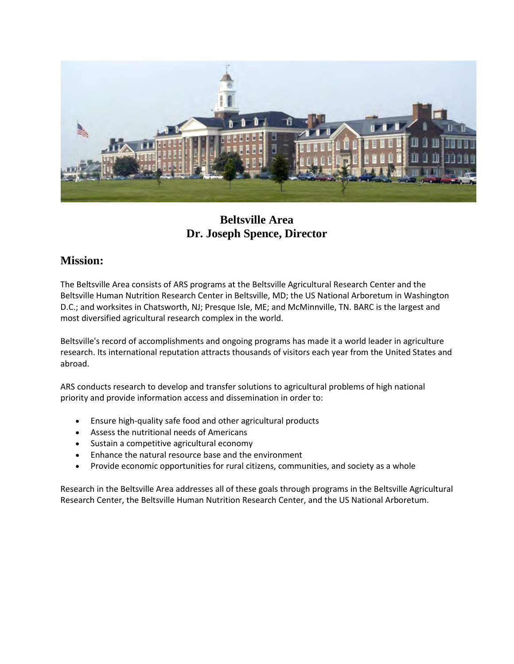

### **Beltsville Area Dr. Joseph Spence, Director**

### **Mission:**

The Beltsville Area consists of ARS programs at the Beltsville Agricultural Research Center and the Beltsville Human Nutrition Research Center in Beltsville, MD; the US National Arboretum in Washington D.C.; and worksites in Chatsworth, NJ; Presque Isle, ME; and McMinnville, TN. BARC is the largest and most diversified agricultural research complex in the world.

Beltsville's record of accomplishments and ongoing programs has made it a world leader in agriculture research. Its international reputation attracts thousands of visitors each year from the United States and abroad.

ARS conducts research to develop and transfer solutions to agricultural problems of high national priority and provide information access and dissemination in order to:

- Ensure high-quality safe food and other agricultural products
- Assess the nutritional needs of Americans
- Sustain a competitive agricultural economy
- Enhance the natural resource base and the environment
- Provide economic opportunities for rural citizens, communities, and society as a whole

Research in the Beltsville Area addresses all of these goals through programs in the Beltsville Agricultural Research Center, the Beltsville Human Nutrition Research Center, and the US National Arboretum.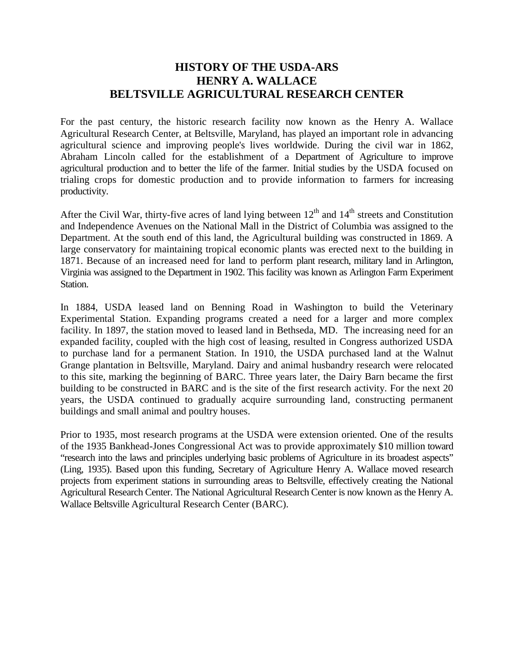### **HISTORY OF THE USDA-ARS HENRY A. WALLACE BELTSVILLE AGRICULTURAL RESEARCH CENTER**

For the past century, the historic research facility now known as the Henry A. Wallace Agricultural Research Center, at Beltsville, Maryland, has played an important role in advancing agricultural science and improving people's lives worldwide. During the civil war in 1862, Abraham Lincoln called for the establishment of a Department of Agriculture to improve agricultural production and to better the life of the farmer. Initial studies by the USDA focused on trialing crops for domestic production and to provide information to farmers for increasing productivity.

After the Civil War, thirty-five acres of land lying between  $12<sup>th</sup>$  and  $14<sup>th</sup>$  streets and Constitution and Independence Avenues on the National Mall in the District of Columbia was assigned to the Department. At the south end of this land, the Agricultural building was constructed in 1869. A large conservatory for maintaining tropical economic plants was erected next to the building in 1871. Because of an increased need for land to perform plant research, military land in Arlington, Virginia was assigned to the Department in 1902. This facility was known as Arlington Farm Experiment Station.

In 1884, USDA leased land on Benning Road in Washington to build the Veterinary Experimental Station. Expanding programs created a need for a larger and more complex facility. In 1897, the station moved to leased land in Bethseda, MD. The increasing need for an expanded facility, coupled with the high cost of leasing, resulted in Congress authorized USDA to purchase land for a permanent Station. In 1910, the USDA purchased land at the Walnut Grange plantation in Beltsville, Maryland. Dairy and animal husbandry research were relocated to this site, marking the beginning of BARC. Three years later, the Dairy Barn became the first building to be constructed in BARC and is the site of the first research activity. For the next 20 years, the USDA continued to gradually acquire surrounding land, constructing permanent buildings and small animal and poultry houses.

Prior to 1935, most research programs at the USDA were extension oriented. One of the results of the 1935 Bankhead-Jones Congressional Act was to provide approximately \$10 million toward "research into the laws and principles underlying basic problems of Agriculture in its broadest aspects" (Ling, 1935). Based upon this funding, Secretary of Agriculture Henry A. Wallace moved research projects from experiment stations in surrounding areas to Beltsville, effectively creating the National Agricultural Research Center. The National Agricultural Research Center is now known as the Henry A. Wallace Beltsville Agricultural Research Center (BARC).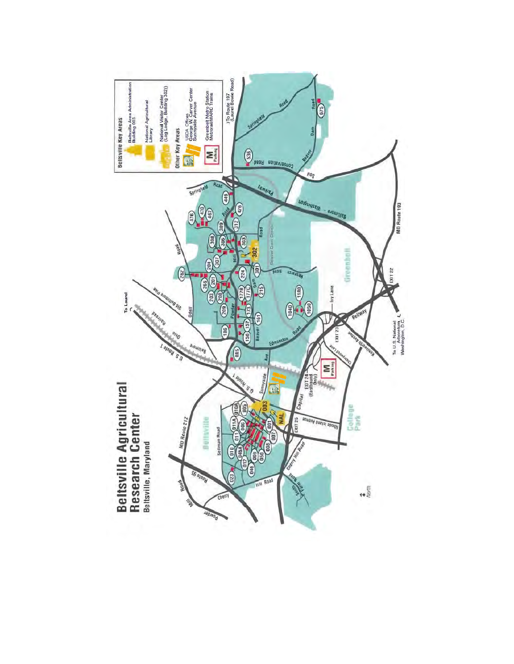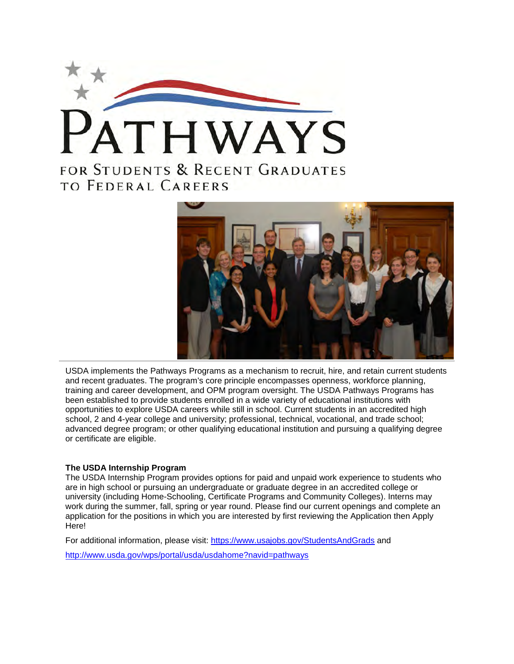



USDA implements the Pathways Programs as a mechanism to recruit, hire, and retain current students and recent graduates. The program's core principle encompasses openness, workforce planning, training and career development, and OPM program oversight. The USDA Pathways Programs has been established to provide students enrolled in a wide variety of educational institutions with opportunities to explore USDA careers while still in school. Current students in an accredited high school, 2 and 4-year college and university; professional, technical, vocational, and trade school; advanced degree program; or other qualifying educational institution and pursuing a qualifying degree or certificate are eligible.

#### **The USDA Internship Program**

The USDA Internship Program provides options for paid and unpaid work experience to students who are in high school or pursuing an undergraduate or graduate degree in an accredited college or university (including Home-Schooling, Certificate Programs and Community Colleges). Interns may work during the summer, fall, spring or year round. Please find our current openings and complete an application for the positions in which you are interested by first reviewing the Application then Apply Here!

For additional information, please visit:<https://www.usajobs.gov/StudentsAndGrads> and

<http://www.usda.gov/wps/portal/usda/usdahome?navid=pathways>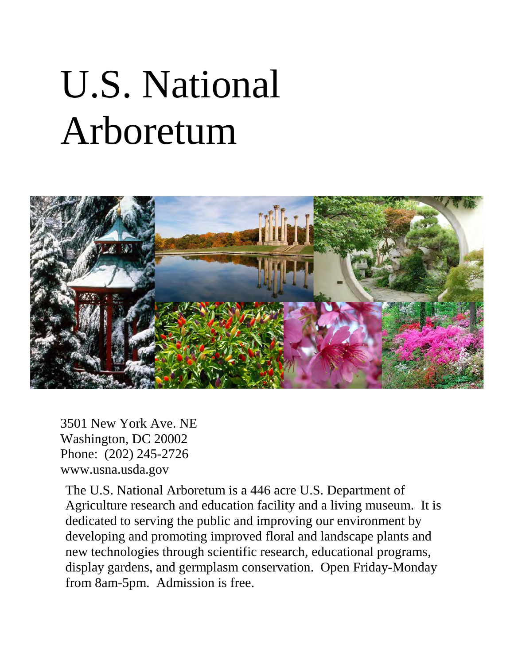# U.S. National Arboretum



3501 New York Ave. NE Washington, DC 20002 Phone: (202) 245-2726 www.usna.usda.gov

The U.S. National Arboretum is a 446 acre U.S. Department of Agriculture research and education facility and a living museum. It is dedicated to serving the public and improving our environment by developing and promoting improved floral and landscape plants and new technologies through scientific research, educational programs, display gardens, and germplasm conservation. Open Friday-Monday from 8am-5pm. Admission is free.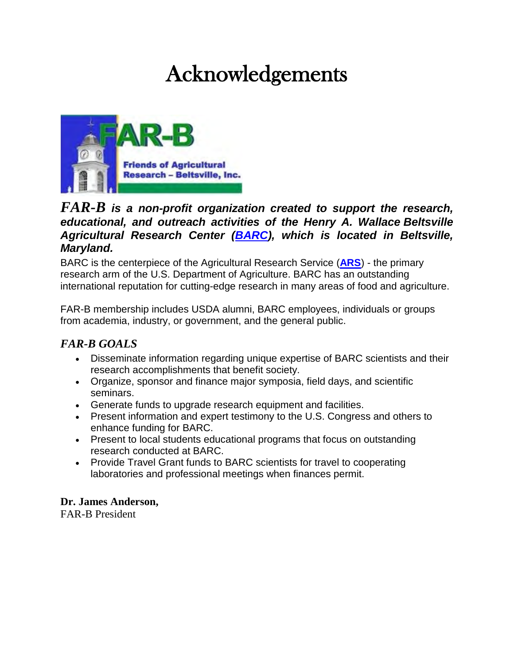## Acknowledgements



### *FAR-B is a non-profit organization created to support the research, educational, and outreach activities of the Henry A. Wallace Beltsville Agricultural Research Center [\(BARC\)](http://www.ars.usda.gov/main/site_main.htm?modecode=12-00-00-00), which is located in Beltsville, Maryland.*

BARC is the centerpiece of the Agricultural Research Service (**[ARS](http://www.ars.usda.gov/main/main.htm)**) - the primary research arm of the U.S. Department of Agriculture. BARC has an outstanding international reputation for cutting-edge research in many areas of food and agriculture.

FAR-B membership includes USDA alumni, BARC employees, individuals or groups from academia, industry, or government, and the general public.

### *FAR-B GOALS*

- Disseminate information regarding unique expertise of BARC scientists and their research accomplishments that benefit society.
- Organize, sponsor and finance major symposia, field days, and scientific seminars.
- Generate funds to upgrade research equipment and facilities.
- Present information and expert testimony to the U.S. Congress and others to enhance funding for BARC.
- Present to local students educational programs that focus on outstanding research conducted at BARC.
- Provide Travel Grant funds to BARC scientists for travel to cooperating laboratories and professional meetings when finances permit.

### **Dr. James Anderson,**

FAR-B President